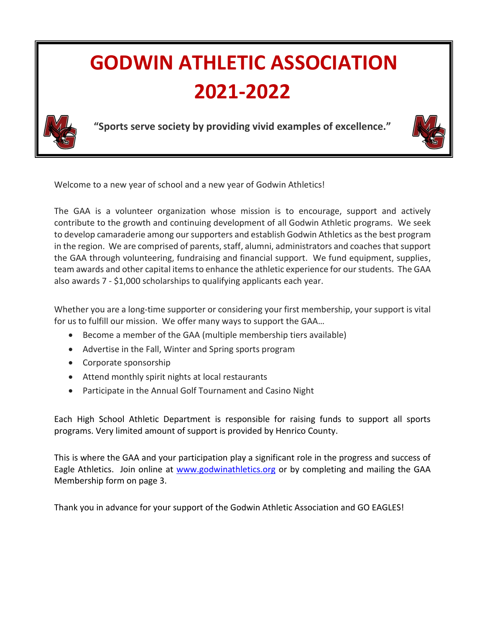# **GODWIN ATHLETIC ASSOCIATION 2021-2022**



**"Sports serve society by providing vivid examples of excellence."**



Welcome to a new year of school and a new year of Godwin Athletics!

The GAA is a volunteer organization whose mission is to encourage, support and actively contribute to the growth and continuing development of all Godwin Athletic programs. We seek to develop camaraderie among our supporters and establish Godwin Athletics as the best program in the region. We are comprised of parents, staff, alumni, administrators and coaches that support the GAA through volunteering, fundraising and financial support. We fund equipment, supplies, team awards and other capital items to enhance the athletic experience for our students. The GAA also awards 7 - \$1,000 scholarships to qualifying applicants each year.

Whether you are a long-time supporter or considering your first membership, your support is vital for us to fulfill our mission. We offer many ways to support the GAA…

- Become a member of the GAA (multiple membership tiers available)
- Advertise in the Fall, Winter and Spring sports program
- Corporate sponsorship
- Attend monthly spirit nights at local restaurants
- Participate in the Annual Golf Tournament and Casino Night

Each High School Athletic Department is responsible for raising funds to support all sports programs. Very limited amount of support is provided by Henrico County.

This is where the GAA and your participation play a significant role in the progress and success of Eagle Athletics. Join online at [www.godwinathletics.org](http://www.godwinathletics.org/) or by completing and mailing the GAA Membership form on page 3.

Thank you in advance for your support of the Godwin Athletic Association and GO EAGLES!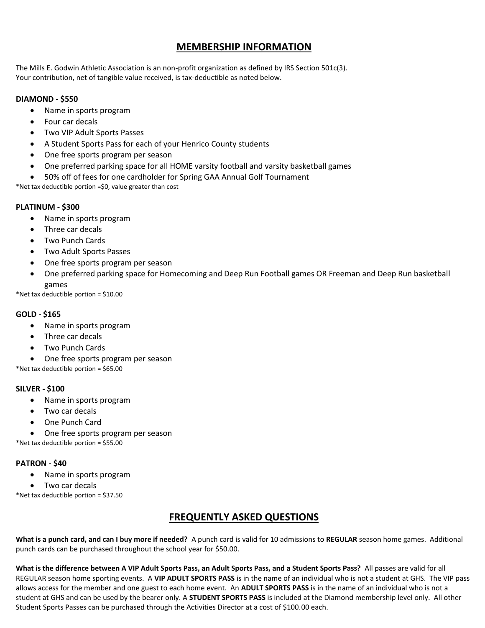## **MEMBERSHIP INFORMATION**

The Mills E. Godwin Athletic Association is an non-profit organization as defined by IRS Section 501c(3). Your contribution, net of tangible value received, is tax-deductible as noted below.

#### **DIAMOND - \$550**

- Name in sports program
- Four car decals
- Two VIP Adult Sports Passes
- A Student Sports Pass for each of your Henrico County students
- One free sports program per season
- One preferred parking space for all HOME varsity football and varsity basketball games
- 50% off of fees for one cardholder for Spring GAA Annual Golf Tournament

\*Net tax deductible portion =\$0, value greater than cost

#### **PLATINUM - \$300**

- Name in sports program
- Three car decals
- Two Punch Cards
- Two Adult Sports Passes
- One free sports program per season
- One preferred parking space for Homecoming and Deep Run Football games OR Freeman and Deep Run basketball games

\*Net tax deductible portion = \$10.00

#### **GOLD - \$165**

- Name in sports program
- Three car decals
- Two Punch Cards
- One free sports program per season

\*Net tax deductible portion = \$65.00

#### **SILVER - \$100**

- Name in sports program
- Two car decals
- One Punch Card
- One free sports program per season

\*Net tax deductible portion = \$55.00

#### **PATRON - \$40**

- Name in sports program
- Two car decals

\*Net tax deductible portion = \$37.50

### **FREQUENTLY ASKED QUESTIONS**

**What is a punch card, and can I buy more if needed?** A punch card is valid for 10 admissions to **REGULAR** season home games. Additional punch cards can be purchased throughout the school year for \$50.00.

**What is the difference between A VIP Adult Sports Pass, an Adult Sports Pass, and a Student Sports Pass?** All passes are valid for all REGULAR season home sporting events. A **VIP ADULT SPORTS PASS** is in the name of an individual who is not a student at GHS. The VIP pass allows access for the member and one guest to each home event. An **ADULT SPORTS PASS** is in the name of an individual who is not a student at GHS and can be used by the bearer only. A **STUDENT SPORTS PASS** is included at the Diamond membership level only. All other Student Sports Passes can be purchased through the Activities Director at a cost of \$100.00 each.